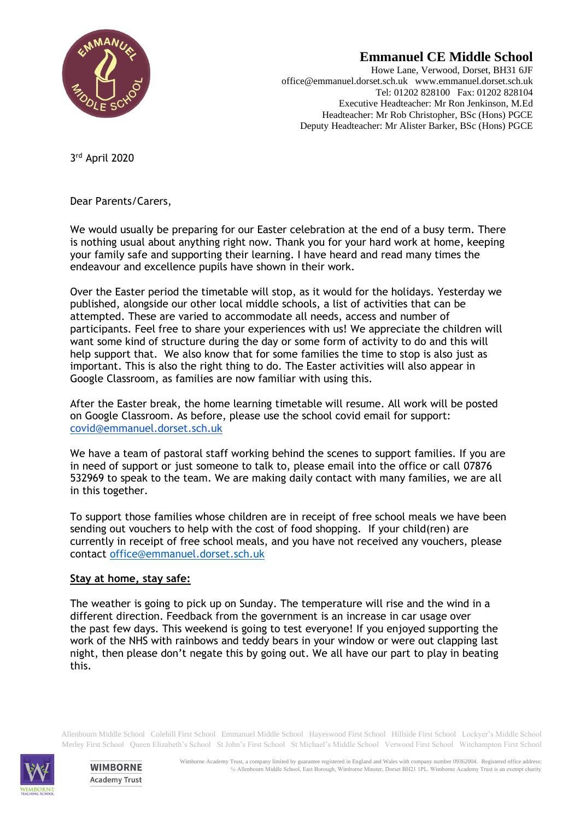

## **Emmanuel CE Middle School**

Howe Lane, Verwood, Dorset, BH31 6JF office@emmanuel.dorset.sch.uk www.emmanuel.dorset.sch.uk Tel: 01202 828100 Fax: 01202 828104 Executive Headteacher: Mr Ron Jenkinson, M.Ed Headteacher: Mr Rob Christopher, BSc (Hons) PGCE Deputy Headteacher: Mr Alister Barker, BSc (Hons) PGCE

3 rd April 2020

Dear Parents/Carers,

We would usually be preparing for our Easter celebration at the end of a busy term. There is nothing usual about anything right now. Thank you for your hard work at home, keeping your family safe and supporting their learning. I have heard and read many times the endeavour and excellence pupils have shown in their work.

Over the Easter period the timetable will stop, as it would for the holidays. Yesterday we published, alongside our other local middle schools, a list of activities that can be attempted. These are varied to accommodate all needs, access and number of participants. Feel free to share your experiences with us! We appreciate the children will want some kind of structure during the day or some form of activity to do and this will help support that. We also know that for some families the time to stop is also just as important. This is also the right thing to do. The Easter activities will also appear in Google Classroom, as families are now familiar with using this.

After the Easter break, the home learning timetable will resume. All work will be posted on Google Classroom. As before, please use the school covid email for support: [covid@emmanuel.dorset.sch.uk](mailto:covid@emmanuel.dorset.sch.uk)

We have a team of pastoral staff working behind the scenes to support families. If you are in need of support or just someone to talk to, please email into the office or call 07876 532969 to speak to the team. We are making daily contact with many families, we are all in this together.

To support those families whose children are in receipt of free school meals we have been sending out vouchers to help with the cost of food shopping. If your child(ren) are currently in receipt of free school meals, and you have not received any vouchers, please contact [office@emmanuel.dorset.sch.uk](mailto:office@emmanuel.dorset.sch.uk)

## **Stay at home, stay safe:**

The weather is going to pick up on Sunday. The temperature will rise and the wind in a different direction. Feedback from the government is an increase in car usage over the past few days. This weekend is going to test everyone! If you enjoyed supporting the work of the NHS with rainbows and teddy bears in your window or were out clapping last night, then please don't negate this by going out. We all have our part to play in beating this.

Allenbourn Middle School Colehill First School Emmanuel Middle School Hayeswood First School Hillside First School Lockyer's Middle School Merley First School Queen Elizabeth's School St John's First School St Michael's Middle School Verwood First School Witchampton First School



**WIMBORNE Academy Trust**  Wimborne Academy Trust, a company limited by guarantee registered in England and Wales with company number 09362004. Registered office address: ℅ Allenbourn Middle School, East Borough, Wimborne Minster, Dorset BH21 1PL. Wimborne Academy Trust is an exempt charity